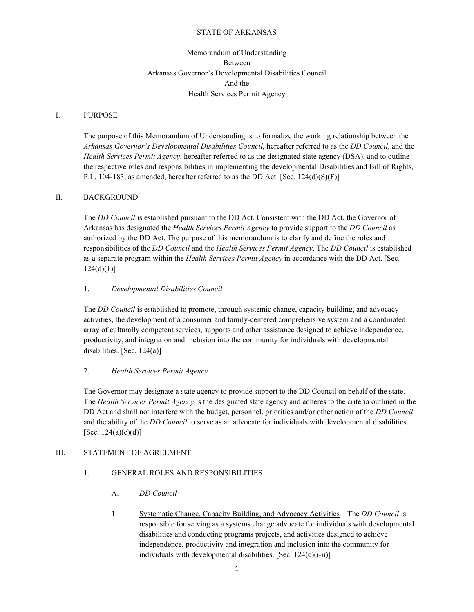#### STATE OF ARKANSAS

# Memorandum of Understanding Between Arkansas Governor's Developmental Disabilities Council And the Health Services Permit Agency

#### I. PURPOSE

The purpose of this Memorandum of Understanding is to formalize the working relationship between the *Arkansas Governor's Developmental Disabilities Council*, hereafter referred to as the *DD Council*, and the *Health Services Permit Agency*, hereafter referred to as the designated state agency (DSA), and to outline the respective roles and responsibilities in implementing the developmental Disabilities and Bill of Rights, P.L. 104-183, as amended, hereafter referred to as the DD Act. [Sec.  $124(d)(S)(F)$ ]

#### II. BACKGROUND

The *DD Council* is established pursuant to the DD Act. Consistent with the DD Act, the Governor of Arkansas has designated the *Health Services Permit Agency* to provide support to the *DD Council* as authorized by the DD Act. The purpose of this memorandum is to clarify and define the roles and responsibilities of the *DD Council* and the *Health Services Permit Agency*. The *DD Council* is established as a separate program within the *Health Services Permit Agency* in accordance with the DD Act. [Sec.  $124(d)(1)$ ]

## 1. *Developmental Disabilities Council*

The *DD Council* is established to promote, through systemic change, capacity building, and advocacy activities, the development of a consumer and family-centered comprehensive system and a coordinated array of culturally competent services, supports and other assistance designed to achieve independence, productivity, and integration and inclusion into the community for individuals with developmental disabilities. [Sec. 124(a)]

#### 2. *Health Services Permit Agency*

The Governor may designate a state agency to provide support to the DD Council on behalf of the state. The *Health Services Permit Agency* is the designated state agency and adheres to the criteria outlined in the DD Act and shall not interfere with the budget, personnel, priorities and/or other action of the *DD Council* and the ability of the *DD Council* to serve as an advocate for individuals with developmental disabilities. [Sec.  $124(a)(c)(d)$ ]

## III. STATEMENT OF AGREEMENT

## 1. GENERAL ROLES AND RESPONSIBILITIES

- A. *DD Council*
- 1. Systematic Change, Capacity Building, and Advocacy Activities The *DD Council* is responsible for serving as a systems change advocate for individuals with developmental disabilities and conducting programs projects, and activities designed to achieve independence, productivity and integration and inclusion into the community for individuals with developmental disabilities. [Sec. 124(c)(i-ii)]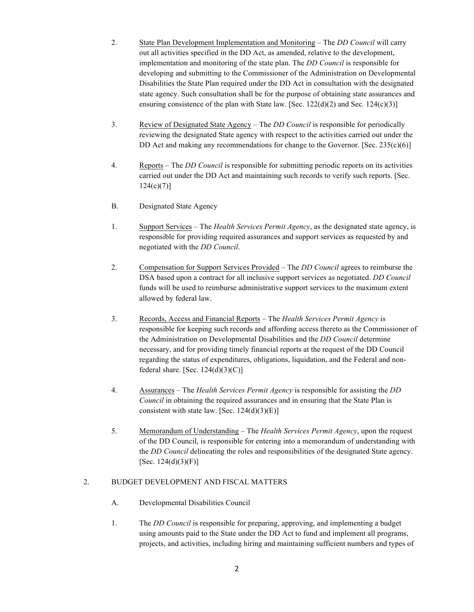- 2. State Plan Development Implementation and Monitoring The *DD Council* will carry out all activities specified in the DD Act, as amended, relative to the development, implementation and monitoring of the state plan. The *DD Council* is responsible for developing and submitting to the Commissioner of the Administration on Developmental Disabilities the State Plan required under the DD Act in consultation with the designated state agency. Such consultation shall be for the purpose of obtaining state assurances and ensuring consistence of the plan with State law. [Sec.  $122(d)(2)$  and Sec.  $124(c)(3)$ ]
- 3. Review of Designated State Agency The *DD Council* is responsible for periodically reviewing the designated State agency with respect to the activities carried out under the DD Act and making any recommendations for change to the Governor. [Sec.  $235(c)(6)$ ]
- 4. Reports The *DD Council* is responsible for submitting periodic reports on its activities carried out under the DD Act and maintaining such records to verify such reports. [Sec.  $124(c)(7)$ ]
- B. Designated State Agency
- 1. Support Services The *Health Services Permit Agency*, as the designated state agency, is responsible for providing required assurances and support services as requested by and negotiated with the *DD Council*.
- 2. Compensation for Support Services Provided The *DD Council* agrees to reimburse the DSA based upon a contract for all inclusive support services as negotiated. *DD Council* funds will be used to reimburse administrative support services to the maximum extent allowed by federal law.
- 3. Records, Access and Financial Reports The *Health Services Permit Agency* is responsible for keeping such records and affording access thereto as the Commissioner of the Administration on Developmental Disabilities and the *DD Council* determine necessary, and for providing timely financial reports at the request of the DD Council regarding the status of expenditures, obligations, liquidation, and the Federal and nonfederal share. [Sec.  $124(d)(3)(C)$ ]
- 4. Assurances The *Health Services Permit Agency* is responsible for assisting the *DD Council* in obtaining the required assurances and in ensuring that the State Plan is consistent with state law. [Sec.  $124(d)(3)(E)$ ]
- 5. Memorandum of Understanding The *Health Services Permit Agency*, upon the request of the DD Council, is responsible for entering into a memorandum of understanding with the *DD Council* delineating the roles and responsibilities of the designated State agency. [Sec.  $124(d)(3)(F)$ ]

## 2. BUDGET DEVELOPMENT AND FISCAL MATTERS

- A. Developmental Disabilities Council
- 1. The *DD Council* is responsible for preparing, approving, and implementing a budget using amounts paid to the State under the DD Act to fund and implement all programs, projects, and activities, including hiring and maintaining sufficient numbers and types of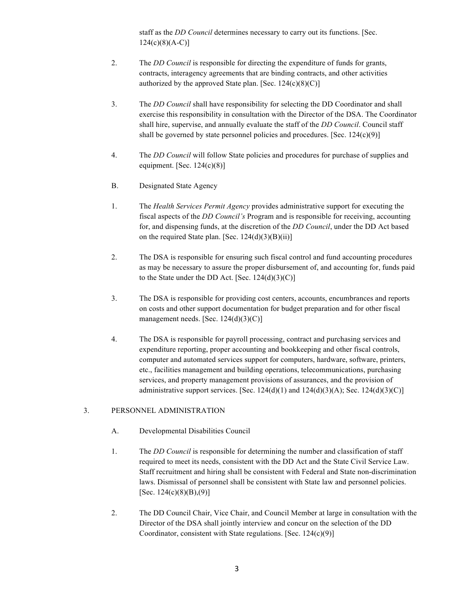staff as the *DD Council* determines necessary to carry out its functions. [Sec.  $124(c)(8)(A-C)$ ]

- 2. The *DD Council* is responsible for directing the expenditure of funds for grants, contracts, interagency agreements that are binding contracts, and other activities authorized by the approved State plan. [Sec.  $124(c)(8)(C)$ ]
- 3. The *DD Council* shall have responsibility for selecting the DD Coordinator and shall exercise this responsibility in consultation with the Director of the DSA. The Coordinator shall hire, supervise, and annually evaluate the staff of the *DD Council*. Council staff shall be governed by state personnel policies and procedures. [Sec.  $124(c)(9)$ ]
- 4. The *DD Council* will follow State policies and procedures for purchase of supplies and equipment. [Sec.  $124(c)(8)$ ]
- B. Designated State Agency
- 1. The *Health Services Permit Agency* provides administrative support for executing the fiscal aspects of the *DD Council's* Program and is responsible for receiving, accounting for, and dispensing funds, at the discretion of the *DD Council*, under the DD Act based on the required State plan. [Sec.  $124(d)(3)(B)(ii)$ ]
- 2. The DSA is responsible for ensuring such fiscal control and fund accounting procedures as may be necessary to assure the proper disbursement of, and accounting for, funds paid to the State under the DD Act. [Sec.  $124(d)(3)(C)$ ]
- 3. The DSA is responsible for providing cost centers, accounts, encumbrances and reports on costs and other support documentation for budget preparation and for other fiscal management needs. [Sec. 124(d)(3)(C)]
- 4. The DSA is responsible for payroll processing, contract and purchasing services and expenditure reporting, proper accounting and bookkeeping and other fiscal controls, computer and automated services support for computers, hardware, software, printers, etc., facilities management and building operations, telecommunications, purchasing services, and property management provisions of assurances, and the provision of administrative support services. [Sec.  $124(d)(1)$  and  $124(d)(3)(A)$ ; Sec.  $124(d)(3)(C)$ ]

## 3. PERSONNEL ADMINISTRATION

- A. Developmental Disabilities Council
- 1. The *DD Council* is responsible for determining the number and classification of staff required to meet its needs, consistent with the DD Act and the State Civil Service Law. Staff recruitment and hiring shall be consistent with Federal and State non-discrimination laws. Dismissal of personnel shall be consistent with State law and personnel policies. [Sec. 124(c)(8)(B),(9)]
- 2. The DD Council Chair, Vice Chair, and Council Member at large in consultation with the Director of the DSA shall jointly interview and concur on the selection of the DD Coordinator, consistent with State regulations. [Sec. 124(c)(9)]